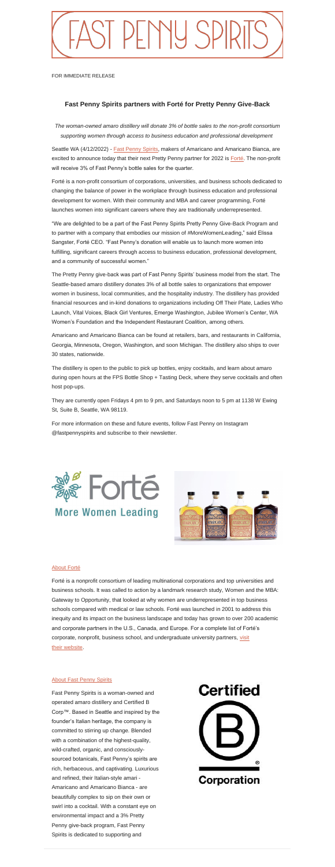

FOR IMMEDIATE RELEASE

## **Fast Penny Spirits partners with Forté for Pretty Penny Give-Back**

*The woman-owned amaro distillery will donate 3% of bottle sales to the non-profit consortium supporting women through access to business education and professional development*

Seattle WA (4/12/2022) - **Fast Penny Spirits**, makers of Amaricano and Amaricano Bianca, are excited to announce today that their next Pretty Penny partner for 2022 is [Forté.](http://www.fortefoundation.org/site/PageServer) The non-profit will receive 3% of Fast Penny's bottle sales for the quarter.

Forté is a non-profit consortium of corporations, universities, and business schools dedicated to changing the balance of power in the workplace through business education and professional development for women. With their community and MBA and career programming, Forté launches women into significant careers where they are traditionally underrepresented.

"We are delighted to be a part of the Fast Penny Spirits Pretty Penny Give-Back Program and to partner with a company that embodies our mission of #MoreWomenLeading," said Elissa Sangster, Forté CEO. "Fast Penny's donation will enable us to launch more women into fulfilling, significant careers through access to business education, professional development, and a community of successful women."

The Pretty Penny give-back was part of Fast Penny Spirits' business model from the start. The Seattle-based amaro distillery donates 3% of all bottle sales to organizations that empower women in business, local communities, and the hospitality industry. The distillery has provided financial resources and in-kind donations to organizations including Off Their Plate, Ladies Who Launch, Vital Voices, Black Girl Ventures, Emerge Washington, Jubilee Women's Center, WA Women's Foundation and the Independent Restaurant Coalition, among others.

Amaricano and Amaricano Bianca can be found at retailers, bars, and restaurants in California, Georgia, Minnesota, Oregon, Washington, and soon Michigan. The distillery also ships to over 30 states, nationwide.

The distillery is open to the public to pick up bottles, enjoy cocktails, and learn about amaro during open hours at the FPS Bottle Shop + Tasting Deck, where they serve cocktails and often host pop-ups.

They are currently open Fridays 4 pm to 9 pm, and Saturdays noon to 5 pm at 1138 W Ewing St, Suite B, Seattle, WA 98119.

For more information on these and future events, follow Fast Penny on Instagram @fastpennyspirits and subscribe to their newsletter.



## [About Forté](http://www.fortefoundation.org/site/PageServer)

Forté is a nonprofit consortium of leading multinational corporations and top universities and business schools. It was called to action by a landmark research study, Women and the MBA: Gateway to Opportunity, that looked at why women are underrepresented in top business schools compared with medical or law schools. Forté was launched in 2001 to address this inequity and its impact on the business landscape and today has grown to over 200 academic and corporate partners in the U.S., Canada, and Europe. For a complete list of Forté's corporate, nonprofit, business school, and undergraduate university partners, visit their [website.](http://www.fortefoundation.org/site/PageServer?pagename=sponsors)

## **[About Fast Penny Spirits](https://www.fastpennyspirits.com/)**

Fast Penny Spirits is a woman-owned and operated amaro distillery and Certified B Corp™. Based in Seattle and inspired by the founder's Italian heritage, the company is committed to stirring up change. Blended with a combination of the highest-quality, wild-crafted, organic, and consciouslysourced botanicals, Fast Penny's spirits are rich, herbaceous, and captivating. Luxurious and refined, their Italian-style amari - Amaricano and Amaricano Bianca - are beautifully complex to sip on their own or swirl into a cocktail. With a constant eye on environmental impact and a 3% Pretty Penny give-back program, Fast Penny Spirits is dedicated to supporting and